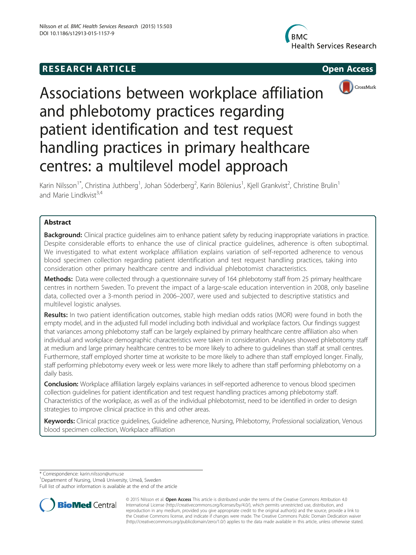# **RESEARCH ARTICLE Example 2014 12:30 The SEAR CHA RTICLE**







# Associations between workplace affiliation and phlebotomy practices regarding patient identification and test request handling practices in primary healthcare centres: a multilevel model approach

Karin Nilsson<sup>1\*</sup>, Christina Juthberg<sup>1</sup>, Johan Söderberg<sup>2</sup>, Karin Bölenius<sup>1</sup>, Kjell Grankvist<sup>2</sup>, Christine Brulin<sup>1</sup> and Marie Lindkvist<sup>3,4</sup>

# Abstract

Background: Clinical practice guidelines aim to enhance patient safety by reducing inappropriate variations in practice. Despite considerable efforts to enhance the use of clinical practice guidelines, adherence is often suboptimal. We investigated to what extent workplace affiliation explains variation of self-reported adherence to venous blood specimen collection regarding patient identification and test request handling practices, taking into consideration other primary healthcare centre and individual phlebotomist characteristics.

Methods: Data were collected through a questionnaire survey of 164 phlebotomy staff from 25 primary healthcare centres in northern Sweden. To prevent the impact of a large-scale education intervention in 2008, only baseline data, collected over a 3-month period in 2006–2007, were used and subjected to descriptive statistics and multilevel logistic analyses.

Results: In two patient identification outcomes, stable high median odds ratios (MOR) were found in both the empty model, and in the adjusted full model including both individual and workplace factors. Our findings suggest that variances among phlebotomy staff can be largely explained by primary healthcare centre affiliation also when individual and workplace demographic characteristics were taken in consideration. Analyses showed phlebotomy staff at medium and large primary healthcare centres to be more likely to adhere to guidelines than staff at small centres. Furthermore, staff employed shorter time at worksite to be more likely to adhere than staff employed longer. Finally, staff performing phlebotomy every week or less were more likely to adhere than staff performing phlebotomy on a daily basis.

**Conclusion:** Workplace affiliation largely explains variances in self-reported adherence to venous blood specimen collection guidelines for patient identification and test request handling practices among phlebotomy staff. Characteristics of the workplace, as well as of the individual phlebotomist, need to be identified in order to design strategies to improve clinical practice in this and other areas.

Keywords: Clinical practice guidelines, Guideline adherence, Nursing, Phlebotomy, Professional socialization, Venous blood specimen collection, Workplace affiliation

\* Correspondence: [karin.nilsson@umu.se](mailto:karin.nilsson@umu.se) <sup>1</sup>

Department of Nursing, Umeå University, Umeå, Sweden

Full list of author information is available at the end of the article



© 2015 Nilsson et al. Open Access This article is distributed under the terms of the Creative Commons Attribution 4.0 International License [\(http://creativecommons.org/licenses/by/4.0/](http://creativecommons.org/licenses/by/4.0/)), which permits unrestricted use, distribution, and reproduction in any medium, provided you give appropriate credit to the original author(s) and the source, provide a link to the Creative Commons license, and indicate if changes were made. The Creative Commons Public Domain Dedication waiver [\(http://creativecommons.org/publicdomain/zero/1.0/](http://creativecommons.org/publicdomain/zero/1.0/)) applies to the data made available in this article, unless otherwise stated.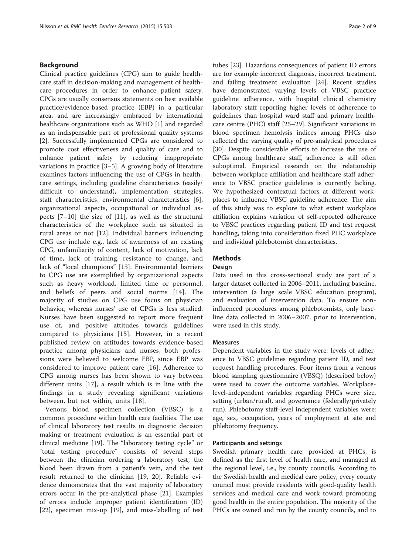#### Background

Clinical practice guidelines (CPG) aim to guide healthcare staff in decision-making and management of healthcare procedures in order to enhance patient safety. CPGs are usually consensus statements on best available practice/evidence-based practice (EBP) in a particular area, and are increasingly embraced by international healthcare organizations such as WHO [\[1](#page-7-0)] and regarded as an indispensable part of professional quality systems [[2\]](#page-7-0). Successfully implemented CPGs are considered to promote cost effectiveness and quality of care and to enhance patient safety by reducing inappropriate variations in practice [[3](#page-7-0)–[5\]](#page-7-0). A growing body of literature examines factors influencing the use of CPGs in healthcare settings, including guideline characteristics (easily/ difficult to understand), implementation strategies, staff characteristics, environmental characteristics [\[6](#page-7-0)], organizational aspects, occupational or individual aspects [[7](#page-7-0)–[10\]](#page-8-0) the size of [[11\]](#page-8-0), as well as the structural characteristics of the workplace such as situated in rural areas or not [[12\]](#page-8-0). Individual barriers influencing CPG use include e.g., lack of awareness of an existing CPG, unfamiliarity of content, lack of motivation, lack of time, lack of training, resistance to change, and lack of "local champions" [\[13](#page-8-0)]. Environmental barriers to CPG use are exemplified by organizational aspects such as heavy workload, limited time or personnel, and beliefs of peers and social norms [[14\]](#page-8-0). The majority of studies on CPG use focus on physician behavior, whereas nurses' use of CPGs is less studied. Nurses have been suggested to report more frequent use of, and positive attitudes towards guidelines compared to physicians [[15\]](#page-8-0). However, in a recent published review on attitudes towards evidence-based practice among physicians and nurses, both professions were believed to welcome EBP, since EBP was considered to improve patient care [[16\]](#page-8-0). Adherence to CPG among nurses has been shown to vary between different units [[17](#page-8-0)], a result which is in line with the findings in a study revealing significant variations between, but not within, units [\[18](#page-8-0)].

Venous blood specimen collection (VBSC) is a common procedure within health care facilities. The use of clinical laboratory test results in diagnostic decision making or treatment evaluation is an essential part of clinical medicine [[19\]](#page-8-0). The "laboratory testing cycle" or "total testing procedure" consists of several steps between the clinician ordering a laboratory test, the blood been drawn from a patient's vein, and the test result returned to the clinician [\[19](#page-8-0), [20](#page-8-0)]. Reliable evidence demonstrates that the vast majority of laboratory errors occur in the pre-analytical phase [\[21\]](#page-8-0). Examples of errors include improper patient identification (ID) [[22\]](#page-8-0), specimen mix-up [\[19](#page-8-0)], and miss-labelling of test

tubes [[23\]](#page-8-0). Hazardous consequences of patient ID errors are for example incorrect diagnosis, incorrect treatment, and failing treatment evaluation [[24\]](#page-8-0). Recent studies have demonstrated varying levels of VBSC practice guideline adherence, with hospital clinical chemistry laboratory staff reporting higher levels of adherence to guidelines than hospital ward staff and primary healthcare centre (PHC) staff [[25](#page-8-0)–[29\]](#page-8-0). Significant variations in blood specimen hemolysis indices among PHCs also reflected the varying quality of pre-analytical procedures [[30\]](#page-8-0). Despite considerable efforts to increase the use of CPGs among healthcare staff, adherence is still often suboptimal. Empirical research on the relationship between workplace affiliation and healthcare staff adherence to VBSC practice guidelines is currently lacking. We hypothesized contextual factors at different workplaces to influence VBSC guideline adherence. The aim of this study was to explore to what extent workplace affiliation explains variation of self-reported adherence to VBSC practices regarding patient ID and test request handling, taking into consideration fixed PHC workplace and individual phlebotomist characteristics.

# Methods

# **Design**

Data used in this cross-sectional study are part of a larger dataset collected in 2006–2011, including baseline, intervention (a large scale VBSC education program), and evaluation of intervention data. To ensure noninfluenced procedures among phlebotomists, only baseline data collected in 2006–2007, prior to intervention, were used in this study.

#### Measures

Dependent variables in the study were: levels of adherence to VBSC guidelines regarding patient ID, and test request handling procedures. Four items from a venous blood sampling questionnaire (VBSQ) (described below) were used to cover the outcome variables. Workplacelevel-independent variables regarding PHCs were: size, setting (urban/rural), and governance (federally/privately run). Phlebotomy staff-level independent variables were: age, sex, occupation, years of employment at site and phlebotomy frequency.

#### Participants and settings

Swedish primary health care, provided at PHCs, is defined as the first level of health care, and managed at the regional level, i.e., by county councils. According to the Swedish health and medical care policy, every county council must provide residents with good-quality health services and medical care and work toward promoting good health in the entire population. The majority of the PHCs are owned and run by the county councils, and to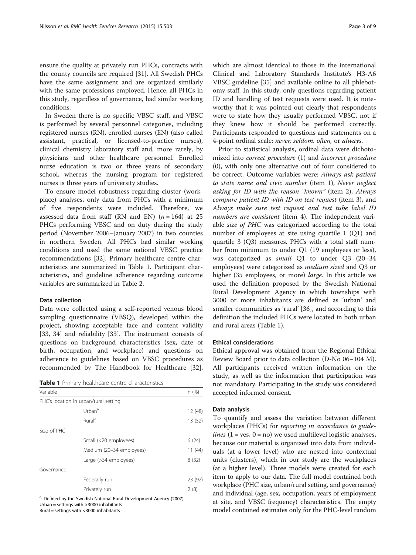<span id="page-2-0"></span>ensure the quality at privately run PHCs, contracts with the county councils are required [\[31\]](#page-8-0). All Swedish PHCs have the same assignment and are organized similarly with the same professions employed. Hence, all PHCs in this study, regardless of governance, had similar working conditions.

In Sweden there is no specific VBSC staff, and VBSC is performed by several personnel categories, including registered nurses (RN), enrolled nurses (EN) (also called assistant, practical, or licensed-to-practice nurses), clinical chemistry laboratory staff and, more rarely, by physicians and other healthcare personnel. Enrolled nurse education is two or three years of secondary school, whereas the nursing program for registered nurses is three years of university studies.

To ensure model robustness regarding cluster (workplace) analyses, only data from PHCs with a minimum of five respondents were included. Therefore, we assessed data from staff (RN and EN)  $(n = 164)$  at 25 PHCs performing VBSC and on duty during the study period (November 2006–January 2007) in two counties in northern Sweden. All PHCs had similar working conditions and used the same national VBSC practice recommendations [[32](#page-8-0)]. Primary healthcare centre characteristics are summarized in Table 1. Participant characteristics, and guideline adherence regarding outcome variables are summarized in Table [2](#page-3-0).

## Data collection

Data were collected using a self-reported venous blood sampling questionnaire (VBSQ), developed within the project, showing acceptable face and content validity [[33, 34\]](#page-8-0) and reliability [\[33](#page-8-0)]. The instrument consists of questions on background characteristics (sex, date of birth, occupation, and workplace) and questions on adherence to guidelines based on VBSC procedures as recommended by The Handbook for Healthcare [\[32](#page-8-0)],

Table 1 Primary healthcare centre characteristics

| Variable                              | n (%)                    |         |  |  |
|---------------------------------------|--------------------------|---------|--|--|
| PHC's location in urban/rural setting |                          |         |  |  |
|                                       | Urban <sup>a</sup>       | 12 (48) |  |  |
|                                       | Rural <sup>a</sup>       | 13(52)  |  |  |
| Size of PHC                           |                          |         |  |  |
|                                       | Small (<20 employees)    | 6(24)   |  |  |
|                                       | Medium (20-34 employees) | 11(44)  |  |  |
|                                       | Large (>34 employees)    | 8(32)   |  |  |
| Governance                            |                          |         |  |  |
|                                       | Federally run            | 23 (92) |  |  |
|                                       | Privately run            | 2(8)    |  |  |

<sup>a</sup>: Defined by the Swedish National Rural Development Agency (2007) Urban = settings with >3000 inhabitants

Rural = settings with <3000 inhabitants

which are almost identical to those in the international Clinical and Laboratory Standards Institute's H3-A6 VBSC guideline [\[35](#page-8-0)] and available online to all phlebotomy staff. In this study, only questions regarding patient ID and handling of test requests were used. It is noteworthy that it was pointed out clearly that respondents were to state how they usually performed VBSC, not if they knew how it should be performed correctly. Participants responded to questions and statements on a 4-point ordinal scale: never, seldom, often, or always.

Prior to statistical analysis, ordinal data were dichotomized into correct procedure (1) and incorrect procedure (0), with only one alternative out of four considered to be correct. Outcome variables were: Always ask patient to state name and civic number (item 1), Never neglect asking for ID with the reason "known" (item 2), Always compare patient ID with ID on test request (item 3), and Always make sure test request and test tube label ID numbers are consistent (item 4). The independent variable size of PHC was categorized according to the total number of employees at site using quartile 1 (Q1) and quartile 3 (Q3) measures. PHCs with a total staff number from minimum to under Q1 (19 employees or less), was categorized as small Q1 to under Q3 (20–34 employees) were categorized as medium sized and Q3 or higher (35 employees, or more) *large*. In this article we used the definition proposed by the Swedish National Rural Development Agency in which townships with 3000 or more inhabitants are defined as 'urban' and smaller communities as 'rural' [[36\]](#page-8-0), and according to this definition the included PHCs were located in both urban and rural areas (Table 1).

#### Ethical considerations

Ethical approval was obtained from the Regional Ethical Review Board prior to data collection (D-No 06–104 M). All participants received written information on the study, as well as the information that participation was not mandatory. Participating in the study was considered accepted informed consent.

#### Data analysis

To quantify and assess the variation between different workplaces (PHCs) for reporting in accordance to guide*lines*  $(1 = yes, 0 = no)$  we used multilevel logistic analyses, because our material is organized into data from individuals (at a lower level) who are nested into contextual units (clusters), which in our study are the workplaces (at a higher level). Three models were created for each item to apply to our data. The full model contained both workplace (PHC size, urban/rural setting, and governance) and individual (age, sex, occupation, years of employment at site, and VBSC frequency) characteristics. The empty model contained estimates only for the PHC-level random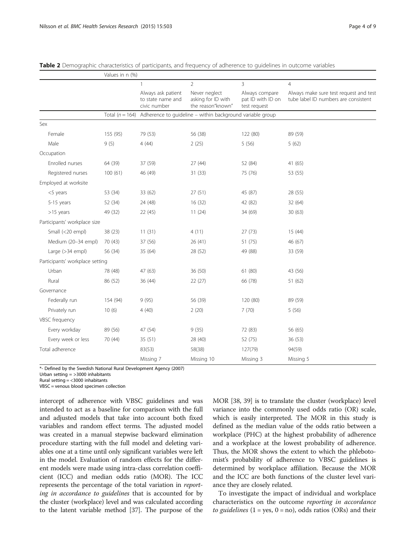|                                 | Values in n (%) |                                                                               |                                                          |                                                     |                                                                                |  |  |
|---------------------------------|-----------------|-------------------------------------------------------------------------------|----------------------------------------------------------|-----------------------------------------------------|--------------------------------------------------------------------------------|--|--|
|                                 |                 | $\mathbf{1}$                                                                  | $\overline{2}$                                           | 3                                                   | $\overline{4}$                                                                 |  |  |
|                                 |                 | Always ask patient<br>to state name and<br>civic number                       | Never neglect<br>asking for ID with<br>the reason"known" | Always compare<br>pat ID with ID on<br>test request | Always make sure test request and test<br>tube label ID numbers are consistent |  |  |
|                                 |                 | Total ( $n = 164$ ) Adherence to quideline – within background variable group |                                                          |                                                     |                                                                                |  |  |
| Sex                             |                 |                                                                               |                                                          |                                                     |                                                                                |  |  |
| Female                          | 155 (95)        | 79 (53)                                                                       | 56 (38)                                                  | 122 (80)                                            | 89 (59)                                                                        |  |  |
| Male                            | 9(5)            | 4(44)                                                                         | 2(25)                                                    | 5(56)                                               | 5(62)                                                                          |  |  |
| Occupation                      |                 |                                                                               |                                                          |                                                     |                                                                                |  |  |
| Enrolled nurses                 | 64 (39)         | 37 (59)                                                                       | 27(44)                                                   | 52 (84)                                             | 41 (65)                                                                        |  |  |
| Registered nurses               | 100(61)         | 46 (49)                                                                       | 31(33)                                                   | 75 (76)                                             | 53 (55)                                                                        |  |  |
| Employed at worksite            |                 |                                                                               |                                                          |                                                     |                                                                                |  |  |
| $<$ 5 years                     | 53 (34)         | 33 (62)                                                                       | 27(51)                                                   | 45 (87)                                             | 28 (55)                                                                        |  |  |
| 5-15 years                      | 52 (34)         | 24 (48)                                                                       | 16 (32)                                                  | 42 (82)                                             | 32 (64)                                                                        |  |  |
| >15 years                       | 49 (32)         | 22 (45)                                                                       | 11(24)                                                   | 34 (69)                                             | 30(63)                                                                         |  |  |
| Participants' workplace size    |                 |                                                                               |                                                          |                                                     |                                                                                |  |  |
| Small (<20 empl)                | 38 (23)         | 11(31)                                                                        | 4(11)                                                    | 27(73)                                              | 15(44)                                                                         |  |  |
| Medium (20-34 empl)             | 70 (43)         | 37 (56)                                                                       | 26(41)                                                   | 51 (75)                                             | 46 (67)                                                                        |  |  |
| Large (>34 empl)                | 56 (34)         | 35 (64)                                                                       | 28 (52)                                                  | 49 (88)                                             | 33 (59)                                                                        |  |  |
| Participants' workplace setting |                 |                                                                               |                                                          |                                                     |                                                                                |  |  |
| Urban                           | 78 (48)         | 47 (63)                                                                       | 36 (50)                                                  | 61 (80)                                             | 43 (56)                                                                        |  |  |
| Rural                           | 86 (52)         | 36 (44)                                                                       | 22(27)                                                   | 66 (78)                                             | 51 (62)                                                                        |  |  |
| Governance                      |                 |                                                                               |                                                          |                                                     |                                                                                |  |  |
| Federally run                   | 154 (94)        | 9(95)                                                                         | 56 (39)                                                  | 120 (80)                                            | 89 (59)                                                                        |  |  |
| Privately run                   | 10(6)           | 4(40)                                                                         | 2(20)                                                    | 7(70)                                               | 5(56)                                                                          |  |  |
| VBSC frequency                  |                 |                                                                               |                                                          |                                                     |                                                                                |  |  |
| Every workday                   | 89 (56)         | 47 (54)                                                                       | 9(35)                                                    | 72 (83)                                             | 56 (65)                                                                        |  |  |
| Every week or less              | 70 (44)         | 35(51)                                                                        | 28 (40)                                                  | 52 (75)                                             | 36 (53)                                                                        |  |  |
| Total adherence                 |                 | 83(53)                                                                        | 58(38)                                                   | 127(79)                                             | 94(59)                                                                         |  |  |
|                                 |                 | Missing 7                                                                     | Missing 10                                               | Missing 3                                           | Missing 5                                                                      |  |  |

<span id="page-3-0"></span>

\*- Defined by the Swedish National Rural Development Agency (2007)

Urban setting = >3000 inhabitants

Rural setting = <3000 inhabitants

VBSC = venous blood specimen collection

intercept of adherence with VBSC guidelines and was intended to act as a baseline for comparison with the full and adjusted models that take into account both fixed variables and random effect terms. The adjusted model was created in a manual stepwise backward elimination procedure starting with the full model and deleting variables one at a time until only significant variables were left in the model. Evaluation of random effects for the different models were made using intra-class correlation coefficient (ICC) and median odds ratio (MOR). The ICC represents the percentage of the total variation in reporting in accordance to guidelines that is accounted for by the cluster (workplace) level and was calculated according to the latent variable method [\[37](#page-8-0)]. The purpose of the MOR [[38](#page-8-0), [39\]](#page-8-0) is to translate the cluster (workplace) level variance into the commonly used odds ratio (OR) scale, which is easily interpreted. The MOR in this study is defined as the median value of the odds ratio between a workplace (PHC) at the highest probability of adherence and a workplace at the lowest probability of adherence. Thus, the MOR shows the extent to which the phlebotomist's probability of adherence to VBSC guidelines is determined by workplace affiliation. Because the MOR and the ICC are both functions of the cluster level variance they are closely related.

To investigate the impact of individual and workplace characteristics on the outcome reporting in accordance to guidelines  $(1 = yes, 0 = no)$ , odds ratios (ORs) and their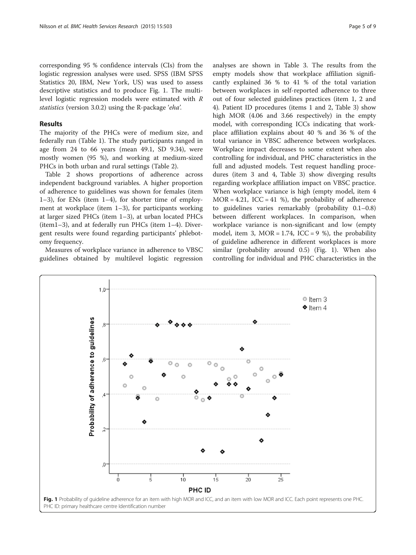corresponding 95 % confidence intervals (CIs) from the logistic regression analyses were used. SPSS (IBM SPSS Statistics 20, IBM, New York, US) was used to assess descriptive statistics and to produce Fig. 1. The multilevel logistic regression models were estimated with R statistics (version 3.0.2) using the R-package 'eha'.

# Results

The majority of the PHCs were of medium size, and federally run (Table [1](#page-2-0)). The study participants ranged in age from 24 to 66 years (mean 49.1, SD 9.34), were mostly women (95 %), and working at medium-sized PHCs in both urban and rural settings (Table [2](#page-3-0)).

Table [2](#page-3-0) shows proportions of adherence across independent background variables. A higher proportion of adherence to guidelines was shown for females (item 1–3), for ENs (item 1–4), for shorter time of employment at workplace (item 1–3), for participants working at larger sized PHCs (item 1–3), at urban located PHCs (item1–3), and at federally run PHCs (item 1–4). Divergent results were found regarding participants' phlebotomy frequency.

Measures of workplace variance in adherence to VBSC guidelines obtained by multilevel logistic regression

analyses are shown in Table [3.](#page-5-0) The results from the empty models show that workplace affiliation significantly explained 36 % to 41 % of the total variation between workplaces in self-reported adherence to three out of four selected guidelines practices (item 1, 2 and 4). Patient ID procedures (items 1 and 2, Table [3\)](#page-5-0) show high MOR (4.06 and 3.66 respectively) in the empty model, with corresponding ICCs indicating that workplace affiliation explains about 40 % and 36 % of the total variance in VBSC adherence between workplaces. Workplace impact decreases to some extent when also controlling for individual, and PHC characteristics in the full and adjusted models. Test request handling procedures (item 3 and 4, Table [3\)](#page-5-0) show diverging results regarding workplace affiliation impact on VBSC practice. When workplace variance is high (empty model, item 4  $MOR = 4.21$ ,  $ICC = 41 %$ , the probability of adherence to guidelines varies remarkably (probability 0.1–0.8) between different workplaces. In comparison, when workplace variance is non-significant and low (empty model, item 3, MOR =  $1.74$ , ICC = 9 %), the probability of guideline adherence in different workplaces is more similar (probability around 0.5) (Fig. 1). When also controlling for individual and PHC characteristics in the

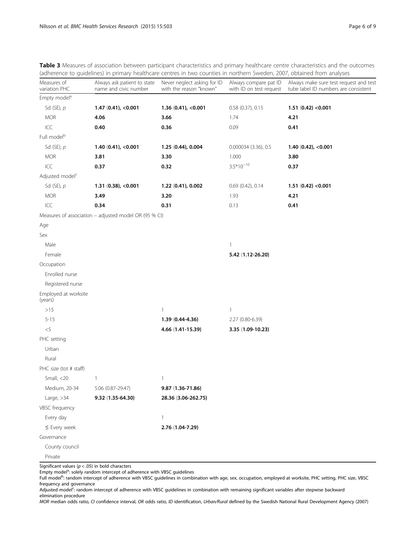|                                 | $\overline{\phantom{a}}$                              |                                                        |                                                  |                                                                                |
|---------------------------------|-------------------------------------------------------|--------------------------------------------------------|--------------------------------------------------|--------------------------------------------------------------------------------|
| Measures of<br>variation PHC    | Always ask patient to state<br>name and civic number  | Never neglect asking for ID<br>with the reason "known" | Always compare pat ID<br>with ID on test request | Always make sure test request and test<br>tube label ID numbers are consistent |
| Empty model <sup>a</sup>        |                                                       |                                                        |                                                  |                                                                                |
| Sd (SE), $p$                    | 1.47(0.41), < 0.001                                   | 1.36(0.41), < 0.001                                    | $0.58$ (0.37), 0.15                              | 1.51(0.42) < 0.001                                                             |
| <b>MOR</b>                      | 4.06                                                  | 3.66                                                   | 1.74                                             | 4.21                                                                           |
| ICC                             | 0.40                                                  | 0.36                                                   | 0.09                                             | 0.41                                                                           |
| Full model <sup>b</sup>         |                                                       |                                                        |                                                  |                                                                                |
| Sd (SE), $p$                    | 1.40 $(0.41)$ , <0.001                                | 1.25 (0.44), 0.004                                     | 0.000034 (3.36), 0.5                             | 1.40 $(0.42)$ , <0.001                                                         |
| <b>MOR</b>                      | 3.81                                                  | 3.30                                                   | 1.000                                            | 3.80                                                                           |
| ICC                             | 0.37                                                  | 0.32                                                   | $3.5*10^{-10}$                                   | 0.37                                                                           |
| Adjusted model <sup>c</sup>     |                                                       |                                                        |                                                  |                                                                                |
| Sd (SE), $p$                    | $1.31$ (0.38), <0.001                                 | 1.22(0.41), 0.002                                      | $0.69$ $(0.42)$ , $0.14$                         | 1.51(0.42) < 0.001                                                             |
| <b>MOR</b>                      | 3.49                                                  | 3.20                                                   | 1.93                                             | 4.21                                                                           |
| ICC                             | 0.34                                                  | 0.31                                                   | 0.13                                             | 0.41                                                                           |
|                                 | Measures of association - adjusted model OR (95 % CI) |                                                        |                                                  |                                                                                |
| Age                             |                                                       |                                                        |                                                  |                                                                                |
| Sex                             |                                                       |                                                        |                                                  |                                                                                |
| Male                            |                                                       |                                                        | $\mathbf{1}$                                     |                                                                                |
| Female                          |                                                       |                                                        | 5.42 (1.12-26.20)                                |                                                                                |
| Occupation                      |                                                       |                                                        |                                                  |                                                                                |
| Enrolled nurse                  |                                                       |                                                        |                                                  |                                                                                |
| Registered nurse                |                                                       |                                                        |                                                  |                                                                                |
| Employed at worksite<br>(years) |                                                       |                                                        |                                                  |                                                                                |
| >15                             |                                                       | 1                                                      | $\mathbf{1}$                                     |                                                                                |
| $5 - 15$                        |                                                       | $1.39(0.44-4.36)$                                      | 2.27 (0.80-6.39)                                 |                                                                                |
| $<$ 5                           |                                                       | 4.66 (1.41-15.39)                                      | 3.35 (1.09-10.23)                                |                                                                                |
| PHC setting                     |                                                       |                                                        |                                                  |                                                                                |
| Urban                           |                                                       |                                                        |                                                  |                                                                                |
| Rural                           |                                                       |                                                        |                                                  |                                                                                |
| PHC size (tot # staff)          |                                                       |                                                        |                                                  |                                                                                |
| Small, $<$ 20                   | $\mathbf{1}$                                          | $\mathbf{1}$                                           |                                                  |                                                                                |
| Medium, 20-34                   | 5.06 (0.87-29.47)                                     | 9.87 (1.36-71.86)                                      |                                                  |                                                                                |
| Large, $>34$                    | 9.32 (1.35-64.30)                                     | 28.36 (3.06-262.75)                                    |                                                  |                                                                                |
| VBSC frequency                  |                                                       |                                                        |                                                  |                                                                                |
| Every day                       |                                                       | 1                                                      |                                                  |                                                                                |
| $\leq$ Every week               |                                                       | 2.76 (1.04-7.29)                                       |                                                  |                                                                                |
| Governance                      |                                                       |                                                        |                                                  |                                                                                |
| County council                  |                                                       |                                                        |                                                  |                                                                                |
| Private                         |                                                       |                                                        |                                                  |                                                                                |

<span id="page-5-0"></span>Table 3 Measures of association between participant characteristics and primary healthcare centre characteristics and the outcomes (adherence to guidelines) in primary healthcare centres in two counties in northern Sweden, 2007, obtained from analyses

Significant values ( $p < .05$ ) in bold characters

Empty model<sup>a</sup>: solely random intercept of adherence with VBSC guidelines

Full model<sup>b</sup>: random intercept of adherence with VBSC guidelines in combination with age, sex, occupation, employed at worksite, PHC setting, PHC size, VBSC frequency and governance

Adjusted model<sup>c</sup>: random intercept of adherence with VBSC guidelines in combination with remaining significant variables after stepwise backward elimination procedure

MOR median odds ratio, CI confidence interval, OR odds ratio, ID identification, Urban/Rural defined by the Swedish National Rural Development Agency (2007)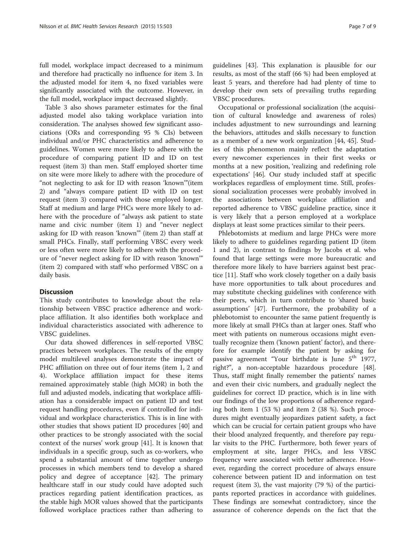full model, workplace impact decreased to a minimum and therefore had practically no influence for item 3. In the adjusted model for item 4, no fixed variables were significantly associated with the outcome. However, in the full model, workplace impact decreased slightly.

Table [3](#page-5-0) also shows parameter estimates for the final adjusted model also taking workplace variation into consideration. The analyses showed few significant associations (ORs and corresponding 95 % CIs) between individual and/or PHC characteristics and adherence to guidelines. Women were more likely to adhere with the procedure of comparing patient ID and ID on test request (item 3) than men. Staff employed shorter time on site were more likely to adhere with the procedure of "not neglecting to ask for ID with reason 'known'"(item 2) and "always compare patient ID with ID on test request (item 3) compared with those employed longer. Staff at medium and large PHCs were more likely to adhere with the procedure of "always ask patient to state name and civic number (item 1) and "never neglect asking for ID with reason 'known'" (item 2) than staff at small PHCs. Finally, staff performing VBSC every week or less often were more likely to adhere with the procedure of "never neglect asking for ID with reason 'known'" (item 2) compared with staff who performed VBSC on a daily basis.

#### **Discussion**

This study contributes to knowledge about the relationship between VBSC practice adherence and workplace affiliation. It also identifies both workplace and individual characteristics associated with adherence to VBSC guidelines.

Our data showed differences in self-reported VBSC practices between workplaces. The results of the empty model multilevel analyses demonstrate the impact of PHC affiliation on three out of four items (item 1, 2 and 4). Workplace affiliation impact for these items remained approximately stable (high MOR) in both the full and adjusted models, indicating that workplace affiliation has a considerable impact on patient ID and test request handling procedures, even if controlled for individual and workplace characteristics. This is in line with other studies that shows patient ID procedures [\[40\]](#page-8-0) and other practices to be strongly associated with the social context of the nurses' work group [[41\]](#page-8-0). It is known that individuals in a specific group, such as co-workers, who spend a substantial amount of time together undergo processes in which members tend to develop a shared policy and degree of acceptance [\[42](#page-8-0)]. The primary healthcare staff in our study could have adopted such practices regarding patient identification practices, as the stable high MOR values showed that the participants followed workplace practices rather than adhering to

guidelines [[43](#page-8-0)]. This explanation is plausible for our results, as most of the staff (66 %) had been employed at least 5 years, and therefore had had plenty of time to develop their own sets of prevailing truths regarding VBSC procedures.

Occupational or professional socialization (the acquisition of cultural knowledge and awareness of roles) includes adjustment to new surroundings and learning the behaviors, attitudes and skills necessary to function as a member of a new work organization [\[44](#page-8-0), [45\]](#page-8-0). Studies of this phenomenon mainly reflect the adaptation every newcomer experiences in their first weeks or months at a new position, 'realizing and redefining role expectations' [[46](#page-8-0)]. Our study included staff at specific workplaces regardless of employment time. Still, professional socialization processes were probably involved in the associations between workplace affiliation and reported adherence to VBSC guideline practice, since it is very likely that a person employed at a workplace displays at least some practices similar to their peers.

Phlebotomists at medium and large PHCs were more likely to adhere to guidelines regarding patient ID (item 1 and 2), in contrast to findings by Jacobs et al. who found that large settings were more bureaucratic and therefore more likely to have barriers against best practice [\[11](#page-8-0)]. Staff who work closely together on a daily basis have more opportunities to talk about procedures and may substitute checking guidelines with conference with their peers, which in turn contribute to 'shared basic assumptions' [\[47](#page-8-0)]. Furthermore, the probability of a phlebotomist to encounter the same patient frequently is more likely at small PHCs than at larger ones. Staff who meet with patients on numerous occasions might eventually recognize them ('known patient' factor), and therefore for example identify the patient by asking for passive agreement "Your birthdate is June  $5<sup>th</sup>$  1977, right?", a non-acceptable hazardous procedure [\[48](#page-8-0)]. Thus, staff might finally remember the patients' names and even their civic numbers, and gradually neglect the guidelines for correct ID practice, which is in line with our findings of the low proportions of adherence regarding both item 1 (53 %) and item 2 (38 %). Such procedures might eventually jeopardizes patient safety, a fact which can be crucial for certain patient groups who have their blood analyzed frequently, and therefore pay regular visits to the PHC. Furthermore, both fewer years of employment at site, larger PHCs, and less VBSC frequency were associated with better adherence. However, regarding the correct procedure of always ensure coherence between patient ID and information on test request (item 3), the vast majority (79 %) of the participants reported practices in accordance with guidelines. These findings are somewhat contradictory, since the assurance of coherence depends on the fact that the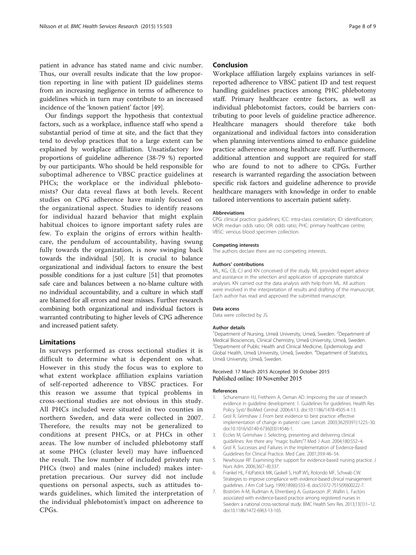<span id="page-7-0"></span>patient in advance has stated name and civic number. Thus, our overall results indicate that the low proportion reporting in line with patient ID guidelines stems from an increasing negligence in terms of adherence to guidelines which in turn may contribute to an increased incidence of the 'known patient' factor [\[49](#page-8-0)].

Our findings support the hypothesis that contextual factors, such as a workplace, influence staff who spend a substantial period of time at site, and the fact that they tend to develop practices that to a large extent can be explained by workplace affiliation. Unsatisfactory low proportions of guideline adherence (38-79 %) reported by our participants. Who should be held responsible for suboptimal adherence to VBSC practice guidelines at PHCs; the workplace or the individual phlebotomists? Our data reveal flaws at both levels. Recent studies on CPG adherence have mainly focused on the organizational aspect. Studies to identify reasons for individual hazard behavior that might explain habitual choices to ignore important safety rules are few. To explain the origins of errors within healthcare, the pendulum of accountability, having swung fully towards the organization, is now swinging back towards the individual [\[50\]](#page-8-0). It is crucial to balance organizational and individual factors to ensure the best possible conditions for a just culture [\[51\]](#page-8-0) that promotes safe care and balances between a no-blame culture with no individual accountability, and a culture in which staff are blamed for all errors and near misses. Further research combining both organizational and individual factors is warranted contributing to higher levels of CPG adherence and increased patient safety.

# Limitations

In surveys performed as cross sectional studies it is difficult to determine what is dependent on what. However in this study the focus was to explore to what extent workplace affiliation explains variation of self-reported adherence to VBSC practices. For this reason we assume that typical problems in cross-sectional studies are not obvious in this study. All PHCs included were situated in two counties in northern Sweden, and data were collected in 2007. Therefore, the results may not be generalized to conditions at present PHCs, or at PHCs in other areas. The low number of included phlebotomy staff at some PHCs (cluster level) may have influenced the result. The low number of included privately run PHCs (two) and males (nine included) makes interpretation precarious. Our survey did not include questions on personal aspects, such as attitudes towards guidelines, which limited the interpretation of the individual phlebotomist's impact on adherence to CPGs.

#### Conclusion

Workplace affiliation largely explains variances in selfreported adherence to VBSC patient ID and test request handling guidelines practices among PHC phlebotomy staff. Primary healthcare centre factors, as well as individual phlebotomist factors, could be barriers contributing to poor levels of guideline practice adherence. Healthcare managers should therefore take both organizational and individual factors into consideration when planning interventions aimed to enhance guideline practice adherence among healthcare staff. Furthermore, additional attention and support are required for staff who are found to not to adhere to CPGs. Further research is warranted regarding the association between specific risk factors and guideline adherence to provide healthcare managers with knowledge in order to enable tailored interventions to ascertain patient safety.

#### Abbreviations

CPG: clinical practice guidelines; ICC: intra-class correlation; ID: identification; MOR: median odds ratio; OR: odds ratio; PHC: primary healthcare centre; VBSC: venous blood specimen collection.

#### Competing interests

The authors declare there are no competing interests.

#### Authors' contributions

ML, KG, CB, CJ and KN conceived of the study. ML provided expert advice and assistance in the selection and application of appropriate statistical analyses. KN carried out the data analysis with help from ML. All authors were involved in the interpretation of results and drafting of the manuscript. Each author has read and approved the submitted manuscript.

#### Data access

Data were collected by JS.

#### Author details

<sup>1</sup>Department of Nursing, Umeå University, Umeå, Sweden. <sup>2</sup>Department of Medical Biosciences, Clinical Chemistry, Umeå University, Umeå, Sweden. <sup>3</sup>Department of Public Health and Clinical Medicine, Epidemiology and Global Health, Umeå University, Umeå, Sweden. <sup>4</sup> Department of Statistics, Umeå University, Umeå, Sweden.

#### Received: 17 March 2015 Accepted: 30 October 2015 Published online: 10 November 2015

#### References

- Schunemann HJ, Fretheim A, Oxman AD. Improving the use of research evidence in guideline development: 1. Guidelines for guidelines. Health Res Policy Syst/ BioMed Central. 2006;4:13. doi[:10.1186/1478-4505-4-13](http://dx.doi.org/10.1186/1478-4505-4-13).
- 2. Grol R, Grimshaw J. From best evidence to best practice: effective implementation of change in patients' care. Lancet. 2003;362(9391):1225–30. doi[:10.1016/s0140-6736\(03\)14546-1](http://dx.doi.org/10.1016/s0140-6736(03)14546-1).
- 3. Eccles M, Grimshaw J. Selecting, presenting and delivering clinical guidelines: Are there any "magic bullets"? Med J Aust. 2004;180:S52–4.
- 4. Grol R. Successes and Failures in the Implementation of Evidence-Based Guidelines for Clinical Practice. Med Care. 2001;39:II-46–54.
- Newhouse RP. Examining the support for evidence-based nursing practice. J Nurs Adm. 2006;36(7–8):337.
- 6. Frankel HL, FitzPatrick MK, Gaskell S, Hoff WS, Rotondo MF, Schwab CW. Strategies to improve compliance with evidence-based clinical management guidelines. J Am Coll Surg. 1999;189(6):533–8. doi:S1072-7515(99)00222-7.
- 7. Boström A-M, Rudman A, Ehrenberg A, Gustavsson JP, Wallin L. Factors associated with evidence-based practice among registered nurses in Sweden: a national cross-sectional study. BMC Health Serv Res. 2013;13(1):1–12. doi:[10.1186/1472-6963-13-165](http://dx.doi.org/10.1186/1472-6963-13-165).